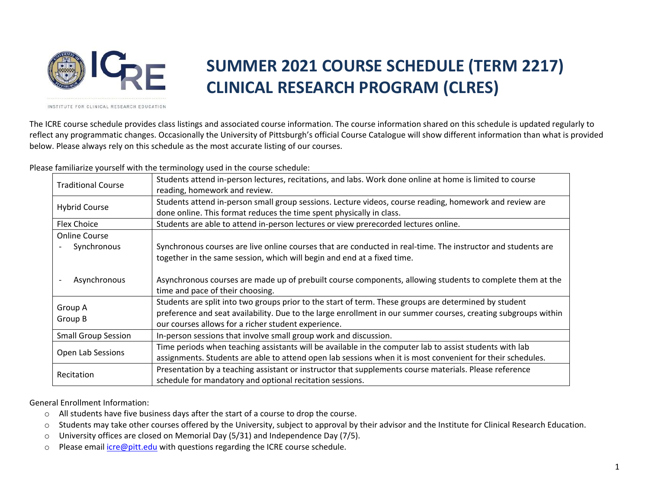

## **SUMMER 2021 COURSE SCHEDULE (TERM 2217) CLINICAL RESEARCH PROGRAM (CLRES)**

INSTITUTE FOR CLINICAL RESEARCH EDUCATION

The ICRE course schedule provides class listings and associated course information. The course information shared on this schedule is updated regularly to reflect any programmatic changes. Occasionally the University of Pittsburgh's official Course Catalogue will show different information than what is provided below. Please always rely on this schedule as the most accurate listing of our courses.

Please familiarize yourself with the terminology used in the course schedule:

| <b>Traditional Course</b>  | Students attend in-person lectures, recitations, and labs. Work done online at home is limited to course<br>reading, homework and review.                                                                                                                                      |
|----------------------------|--------------------------------------------------------------------------------------------------------------------------------------------------------------------------------------------------------------------------------------------------------------------------------|
| <b>Hybrid Course</b>       | Students attend in-person small group sessions. Lecture videos, course reading, homework and review are<br>done online. This format reduces the time spent physically in class.                                                                                                |
| <b>Flex Choice</b>         | Students are able to attend in-person lectures or view prerecorded lectures online.                                                                                                                                                                                            |
| <b>Online Course</b>       |                                                                                                                                                                                                                                                                                |
| Synchronous                | Synchronous courses are live online courses that are conducted in real-time. The instructor and students are<br>together in the same session, which will begin and end at a fixed time.                                                                                        |
| Asynchronous               | Asynchronous courses are made up of prebuilt course components, allowing students to complete them at the<br>time and pace of their choosing.                                                                                                                                  |
| Group A<br>Group B         | Students are split into two groups prior to the start of term. These groups are determined by student<br>preference and seat availability. Due to the large enrollment in our summer courses, creating subgroups within<br>our courses allows for a richer student experience. |
| <b>Small Group Session</b> | In-person sessions that involve small group work and discussion.                                                                                                                                                                                                               |
| Open Lab Sessions          | Time periods when teaching assistants will be available in the computer lab to assist students with lab<br>assignments. Students are able to attend open lab sessions when it is most convenient for their schedules.                                                          |
| Recitation                 | Presentation by a teaching assistant or instructor that supplements course materials. Please reference<br>schedule for mandatory and optional recitation sessions.                                                                                                             |

General Enrollment Information:

- o All students have five business days after the start of a course to drop the course.
- o Students may take other courses offered by the University, subject to approval by their advisor and the Institute for Clinical Research Education.
- o University offices are closed on Memorial Day (5/31) and Independence Day (7/5).
- o Please email [icre@pitt.edu](mailto:icre@pitt.edu) with questions regarding the ICRE course schedule.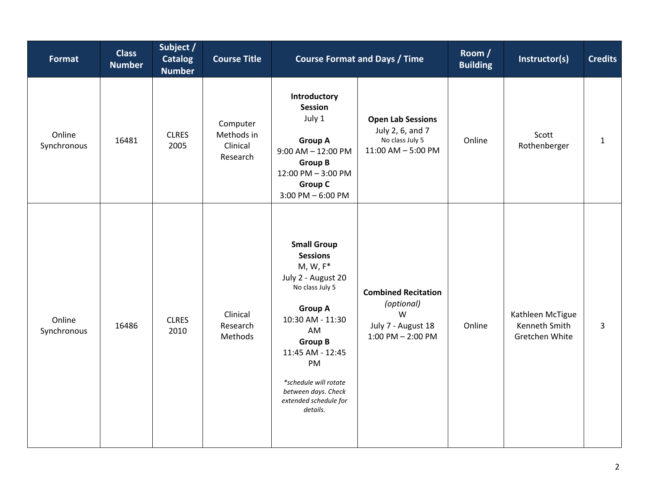| Format                | <b>Class</b><br><b>Number</b> | Subject /<br><b>Catalog</b><br><b>Number</b> | <b>Course Title</b>                            | <b>Course Format and Days / Time</b>                                                                                                                                                                                                                                       |                                                                                              | Room /<br><b>Building</b> | Instructor(s)                                       | <b>Credits</b> |
|-----------------------|-------------------------------|----------------------------------------------|------------------------------------------------|----------------------------------------------------------------------------------------------------------------------------------------------------------------------------------------------------------------------------------------------------------------------------|----------------------------------------------------------------------------------------------|---------------------------|-----------------------------------------------------|----------------|
| Online<br>Synchronous | 16481                         | <b>CLRES</b><br>2005                         | Computer<br>Methods in<br>Clinical<br>Research | Introductory<br>Session<br>July 1<br><b>Group A</b><br>$9:00$ AM $- 12:00$ PM<br><b>Group B</b><br>12:00 PM - 3:00 PM<br><b>Group C</b><br>$3:00$ PM $-6:00$ PM                                                                                                            | <b>Open Lab Sessions</b><br>July 2, 6, and 7<br>No class July 5<br>$11:00$ AM $-5:00$ PM     | Online                    | Scott<br>Rothenberger                               | $\mathbf{1}$   |
| Online<br>Synchronous | 16486                         | <b>CLRES</b><br>2010                         | Clinical<br>Research<br>Methods                | <b>Small Group</b><br><b>Sessions</b><br>$M, W, F^*$<br>July 2 - August 20<br>No class July 5<br><b>Group A</b><br>10:30 AM - 11:30<br>AM<br><b>Group B</b><br>11:45 AM - 12:45<br>PM<br>*schedule will rotate<br>between days. Check<br>extended schedule for<br>details. | <b>Combined Recitation</b><br>(optional)<br>W<br>July 7 - August 18<br>$1:00$ PM $- 2:00$ PM | Online                    | Kathleen McTigue<br>Kenneth Smith<br>Gretchen White | 3              |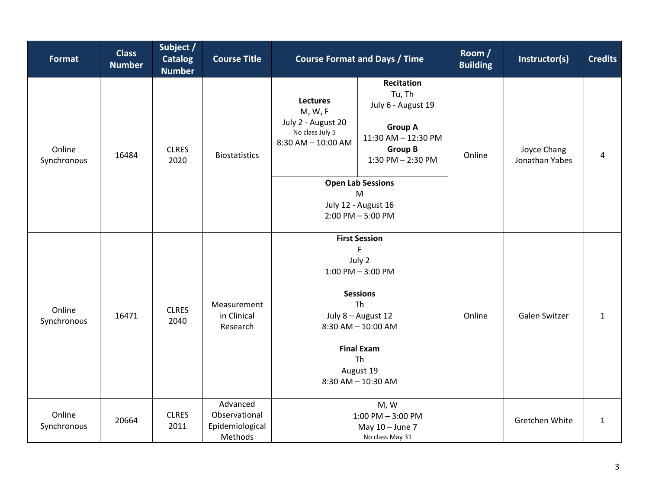| <b>Format</b>         | <b>Class</b><br><b>Number</b> | Subject /<br><b>Catalog</b><br><b>Number</b> | <b>Course Title</b>                                     | <b>Course Format and Days / Time</b>                                                                                                                                                           |                                                                                                                                       | Room /<br><b>Building</b> | Instructor(s)                 | <b>Credits</b> |
|-----------------------|-------------------------------|----------------------------------------------|---------------------------------------------------------|------------------------------------------------------------------------------------------------------------------------------------------------------------------------------------------------|---------------------------------------------------------------------------------------------------------------------------------------|---------------------------|-------------------------------|----------------|
| Online<br>Synchronous | 16484                         | <b>CLRES</b><br>2020                         | <b>Biostatistics</b>                                    | Lectures<br>M, W, F<br>July 2 - August 20<br>No class July 5<br>8:30 AM - 10:00 AM                                                                                                             | <b>Recitation</b><br>Tu, Th<br>July 6 - August 19<br><b>Group A</b><br>11:30 AM - 12:30 PM<br><b>Group B</b><br>$1:30$ PM $- 2:30$ PM | Online                    | Joyce Chang<br>Jonathan Yabes | 4              |
|                       |                               |                                              |                                                         |                                                                                                                                                                                                | <b>Open Lab Sessions</b><br>M<br>July 12 - August 16<br>$2:00$ PM $-5:00$ PM                                                          |                           |                               |                |
| Online<br>Synchronous | 16471                         | <b>CLRES</b><br>2040                         | Measurement<br>in Clinical<br>Research                  | <b>First Session</b><br>F<br>July 2<br>$1:00$ PM $-3:00$ PM<br><b>Sessions</b><br>Th<br>July 8 - August 12<br>8:30 AM - 10:00 AM<br><b>Final Exam</b><br>Th<br>August 19<br>8:30 AM - 10:30 AM |                                                                                                                                       | Online                    | <b>Galen Switzer</b>          | $\mathbf{1}$   |
| Online<br>Synchronous | 20664                         | <b>CLRES</b><br>2011                         | Advanced<br>Observational<br>Epidemiological<br>Methods | M, W<br>$1:00$ PM $-3:00$ PM<br>May $10 -$ June 7<br>No class May 31                                                                                                                           |                                                                                                                                       |                           | Gretchen White                | $\mathbf{1}$   |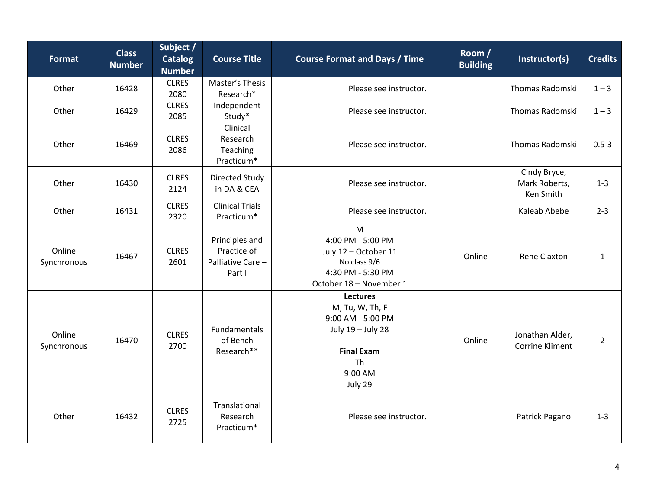| Format                | <b>Class</b><br><b>Number</b> | Subject /<br>Catalog<br><b>Number</b> | <b>Course Title</b>                                         | Room /<br><b>Course Format and Days / Time</b><br><b>Building</b>                                                                              |                                            | Instructor(s)                             | <b>Credits</b> |
|-----------------------|-------------------------------|---------------------------------------|-------------------------------------------------------------|------------------------------------------------------------------------------------------------------------------------------------------------|--------------------------------------------|-------------------------------------------|----------------|
| Other                 | 16428                         | <b>CLRES</b><br>2080                  | Master's Thesis<br>Research*                                | Please see instructor.                                                                                                                         |                                            | <b>Thomas Radomski</b>                    | $1 - 3$        |
| Other                 | 16429                         | <b>CLRES</b><br>2085                  | Independent<br>Study*                                       | Please see instructor.                                                                                                                         |                                            |                                           |                |
| Other                 | 16469                         | <b>CLRES</b><br>2086                  | Clinical<br>Research<br>Teaching<br>Practicum*              | Please see instructor.                                                                                                                         | <b>Thomas Radomski</b>                     | $0.5 - 3$                                 |                |
| Other                 | 16430                         | <b>CLRES</b><br>2124                  | <b>Directed Study</b><br>in DA & CEA                        | Please see instructor.                                                                                                                         | Cindy Bryce,<br>Mark Roberts,<br>Ken Smith | $1 - 3$                                   |                |
| Other                 | 16431                         | <b>CLRES</b><br>2320                  | <b>Clinical Trials</b><br>Practicum*                        | Please see instructor.                                                                                                                         | Kaleab Abebe                               | $2 - 3$                                   |                |
| Online<br>Synchronous | 16467                         | <b>CLRES</b><br>2601                  | Principles and<br>Practice of<br>Palliative Care-<br>Part I | M<br>4:00 PM - 5:00 PM<br>July 12 - October 11<br>Online<br>No class 9/6<br>4:30 PM - 5:30 PM<br>October 18 - November 1                       |                                            | <b>Rene Claxton</b>                       | $\mathbf{1}$   |
| Online<br>Synchronous | 16470                         | <b>CLRES</b><br>2700                  | Fundamentals<br>of Bench<br>Research**                      | <b>Lectures</b><br>M, Tu, W, Th, F<br>9:00 AM - 5:00 PM<br>July 19 - July 28<br>Online<br><b>Final Exam</b><br><b>Th</b><br>9:00 AM<br>July 29 |                                            | Jonathan Alder,<br><b>Corrine Kliment</b> | $\overline{2}$ |
| Other                 | 16432                         | <b>CLRES</b><br>2725                  | Translational<br>Research<br>Practicum*                     | Please see instructor.                                                                                                                         | Patrick Pagano                             | $1 - 3$                                   |                |